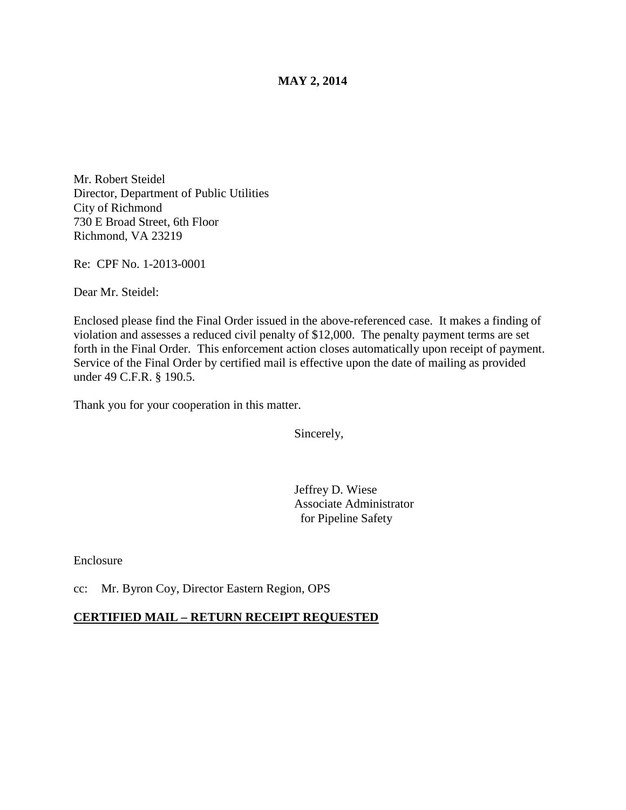### **MAY 2, 2014**

Mr. Robert Steidel Director, Department of Public Utilities City of Richmond 730 E Broad Street, 6th Floor Richmond, VA 23219

Re: CPF No. 1-2013-0001

Dear Mr. Steidel:

Enclosed please find the Final Order issued in the above-referenced case. It makes a finding of violation and assesses a reduced civil penalty of \$12,000. The penalty payment terms are set forth in the Final Order. This enforcement action closes automatically upon receipt of payment. Service of the Final Order by certified mail is effective upon the date of mailing as provided under 49 C.F.R. § 190.5.

Thank you for your cooperation in this matter.

Sincerely,

Jeffrey D. Wiese Associate Administrator for Pipeline Safety

Enclosure

cc: Mr. Byron Coy, Director Eastern Region, OPS

#### **CERTIFIED MAIL – RETURN RECEIPT REQUESTED**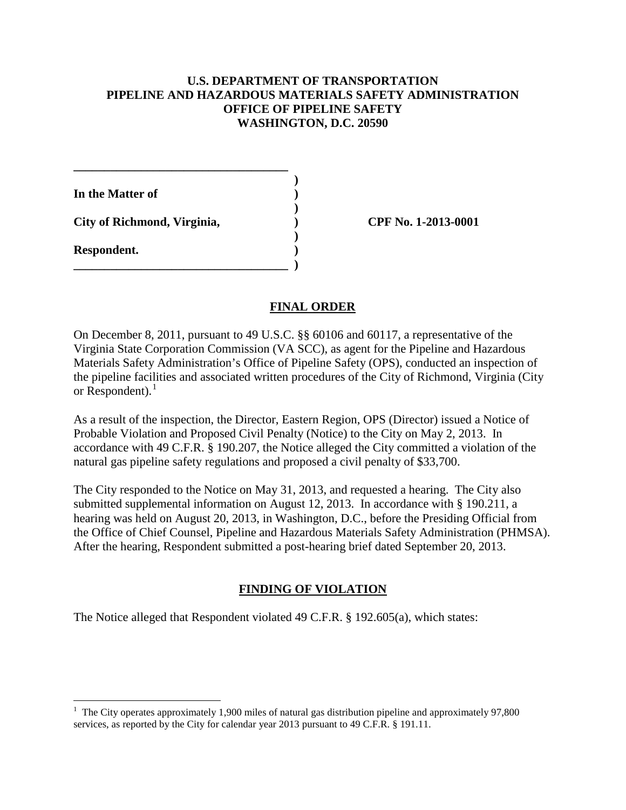# **U.S. DEPARTMENT OF TRANSPORTATION PIPELINE AND HAZARDOUS MATERIALS SAFETY ADMINISTRATION OFFICE OF PIPELINE SAFETY WASHINGTON, D.C. 20590**

 **) In the Matter of ) ) City of Richmond, Virginia, ) CPF No. 1-2013-0001 ) Respondent. ) \_\_\_\_\_\_\_\_\_\_\_\_\_\_\_\_\_\_\_\_\_\_\_\_\_\_\_\_\_\_\_\_\_\_\_ )** 

 $\overline{a}$ 

**\_\_\_\_\_\_\_\_\_\_\_\_\_\_\_\_\_\_\_\_\_\_\_\_\_\_\_\_\_\_\_\_\_\_\_** 

### **FINAL ORDER**

On December 8, 2011, pursuant to 49 U.S.C. §§ 60106 and 60117, a representative of the Virginia State Corporation Commission (VA SCC), as agent for the Pipeline and Hazardous Materials Safety Administration's Office of Pipeline Safety (OPS), conducted an inspection of the pipeline facilities and associated written procedures of the City of Richmond, Virginia (City or  $Respondent$ ).<sup>1</sup>

As a result of the inspection, the Director, Eastern Region, OPS (Director) issued a Notice of Probable Violation and Proposed Civil Penalty (Notice) to the City on May 2, 2013. In accordance with 49 C.F.R. § 190.207, the Notice alleged the City committed a violation of the natural gas pipeline safety regulations and proposed a civil penalty of \$33,700.

The City responded to the Notice on May 31, 2013, and requested a hearing. The City also submitted supplemental information on August 12, 2013. In accordance with § 190.211, a hearing was held on August 20, 2013, in Washington, D.C., before the Presiding Official from the Office of Chief Counsel, Pipeline and Hazardous Materials Safety Administration (PHMSA). After the hearing, Respondent submitted a post-hearing brief dated September 20, 2013.

### **FINDING OF VIOLATION**

The Notice alleged that Respondent violated 49 C.F.R. § 192.605(a), which states:

<sup>&</sup>lt;sup>1</sup> The City operates approximately 1,900 miles of natural gas distribution pipeline and approximately 97,800 services, as reported by the City for calendar year 2013 pursuant to 49 C.F.R. § 191.11.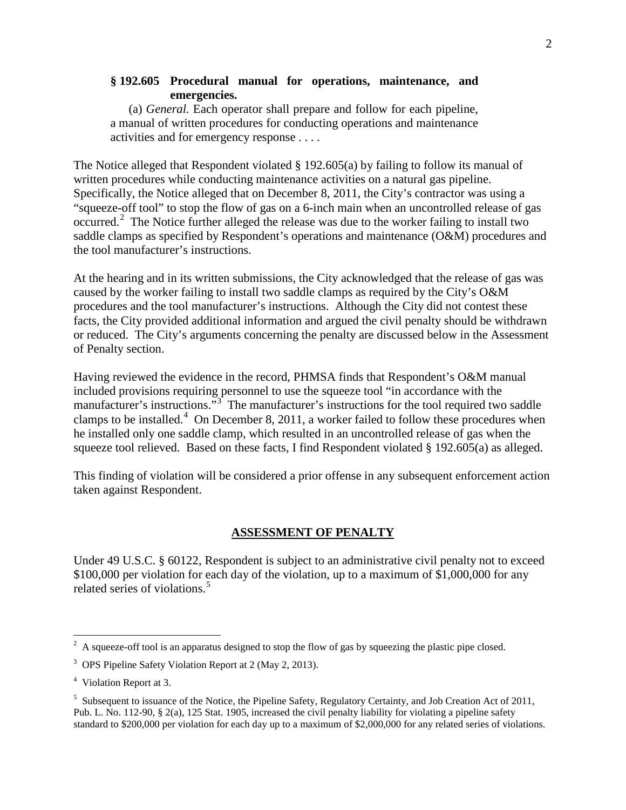# **§ 192.605 Procedural manual for operations, maintenance, and emergencies.**

(a) *General.* Each operator shall prepare and follow for each pipeline, a manual of written procedures for conducting operations and maintenance activities and for emergency response . . . .

The Notice alleged that Respondent violated § 192.605(a) by failing to follow its manual of written procedures while conducting maintenance activities on a natural gas pipeline. Specifically, the Notice alleged that on December 8, 2011, the City's contractor was using a "squeeze-off tool" to stop the flow of gas on a 6-inch main when an uncontrolled release of gas occurred. 2 The Notice further alleged the release was due to the worker failing to install two saddle clamps as specified by Respondent's operations and maintenance (O&M) procedures and the tool manufacturer's instructions.

At the hearing and in its written submissions, the City acknowledged that the release of gas was caused by the worker failing to install two saddle clamps as required by the City's O&M procedures and the tool manufacturer's instructions. Although the City did not contest these facts, the City provided additional information and argued the civil penalty should be withdrawn or reduced. The City's arguments concerning the penalty are discussed below in the Assessment of Penalty section.

Having reviewed the evidence in the record, PHMSA finds that Respondent's O&M manual included provisions requiring personnel to use the squeeze tool "in accordance with the manufacturer's instructions."<sup>3</sup> The manufacturer's instructions for the tool required two saddle clamps to be installed.<sup>4</sup> On December 8, 2011, a worker failed to follow these procedures when he installed only one saddle clamp, which resulted in an uncontrolled release of gas when the squeeze tool relieved. Based on these facts, I find Respondent violated § 192.605(a) as alleged.

This finding of violation will be considered a prior offense in any subsequent enforcement action taken against Respondent.

#### **ASSESSMENT OF PENALTY**

Under 49 U.S.C. § 60122, Respondent is subject to an administrative civil penalty not to exceed \$100,000 per violation for each day of the violation, up to a maximum of \$1,000,000 for any related series of violations.<sup>5</sup>

<sup>&</sup>lt;sup>2</sup> A squeeze-off tool is an apparatus designed to stop the flow of gas by squeezing the plastic pipe closed.

<sup>&</sup>lt;sup>3</sup> OPS Pipeline Safety Violation Report at 2 (May 2, 2013).

<sup>&</sup>lt;sup>4</sup> Violation Report at 3.

<sup>&</sup>lt;sup>5</sup> Subsequent to issuance of the Notice, the Pipeline Safety, Regulatory Certainty, and Job Creation Act of 2011, Pub. L. No. 112-90, § 2(a), 125 Stat. 1905, increased the civil penalty liability for violating a pipeline safety standard to \$200,000 per violation for each day up to a maximum of \$2,000,000 for any related series of violations.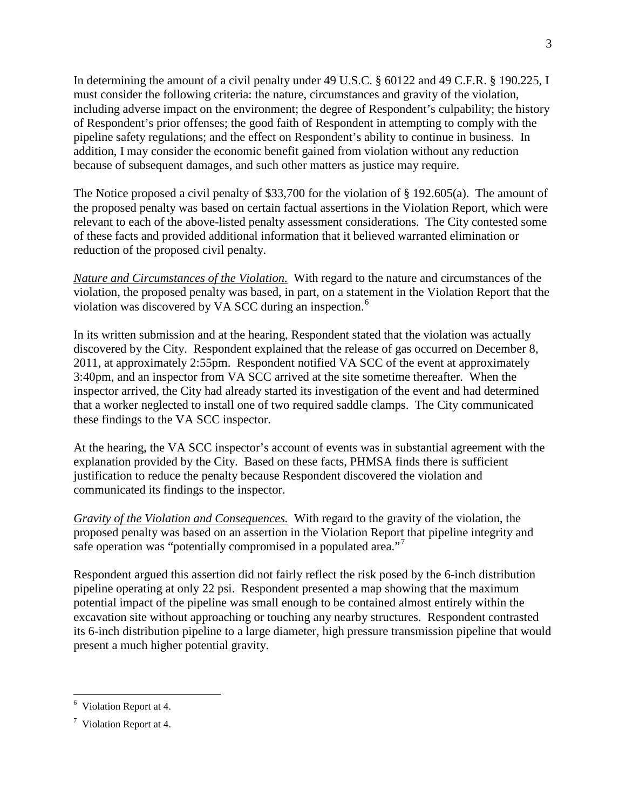In determining the amount of a civil penalty under 49 U.S.C. § 60122 and 49 C.F.R. § 190.225, I must consider the following criteria: the nature, circumstances and gravity of the violation, including adverse impact on the environment; the degree of Respondent's culpability; the history of Respondent's prior offenses; the good faith of Respondent in attempting to comply with the pipeline safety regulations; and the effect on Respondent's ability to continue in business. In addition, I may consider the economic benefit gained from violation without any reduction because of subsequent damages, and such other matters as justice may require.

The Notice proposed a civil penalty of \$33,700 for the violation of § 192.605(a). The amount of the proposed penalty was based on certain factual assertions in the Violation Report, which were relevant to each of the above-listed penalty assessment considerations. The City contested some of these facts and provided additional information that it believed warranted elimination or reduction of the proposed civil penalty.

*Nature and Circumstances of the Violation.* With regard to the nature and circumstances of the violation, the proposed penalty was based, in part, on a statement in the Violation Report that the violation was discovered by VA SCC during an inspection.<sup>6</sup>

In its written submission and at the hearing, Respondent stated that the violation was actually discovered by the City. Respondent explained that the release of gas occurred on December 8, 2011, at approximately 2:55pm. Respondent notified VA SCC of the event at approximately 3:40pm, and an inspector from VA SCC arrived at the site sometime thereafter. When the inspector arrived, the City had already started its investigation of the event and had determined that a worker neglected to install one of two required saddle clamps. The City communicated these findings to the VA SCC inspector.

At the hearing, the VA SCC inspector's account of events was in substantial agreement with the explanation provided by the City. Based on these facts, PHMSA finds there is sufficient justification to reduce the penalty because Respondent discovered the violation and communicated its findings to the inspector.

*Gravity of the Violation and Consequences.* With regard to the gravity of the violation, the proposed penalty was based on an assertion in the Violation Report that pipeline integrity and safe operation was "potentially compromised in a populated area."<sup>7</sup>

Respondent argued this assertion did not fairly reflect the risk posed by the 6-inch distribution pipeline operating at only 22 psi. Respondent presented a map showing that the maximum potential impact of the pipeline was small enough to be contained almost entirely within the excavation site without approaching or touching any nearby structures. Respondent contrasted its 6-inch distribution pipeline to a large diameter, high pressure transmission pipeline that would present a much higher potential gravity.

 6 Violation Report at 4.

 $7$  Violation Report at 4.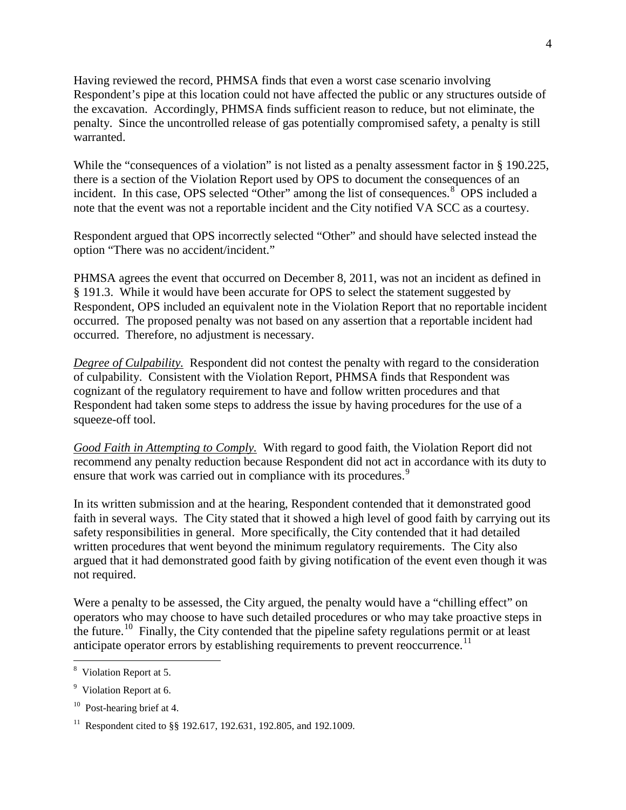Having reviewed the record, PHMSA finds that even a worst case scenario involving Respondent's pipe at this location could not have affected the public or any structures outside of the excavation. Accordingly, PHMSA finds sufficient reason to reduce, but not eliminate, the penalty. Since the uncontrolled release of gas potentially compromised safety, a penalty is still warranted.

While the "consequences of a violation" is not listed as a penalty assessment factor in § 190.225, there is a section of the Violation Report used by OPS to document the consequences of an incident. In this case, OPS selected "Other" among the list of consequences. $8^{\circ}$  OPS included a note that the event was not a reportable incident and the City notified VA SCC as a courtesy.

Respondent argued that OPS incorrectly selected "Other" and should have selected instead the option "There was no accident/incident."

PHMSA agrees the event that occurred on December 8, 2011, was not an incident as defined in § 191.3. While it would have been accurate for OPS to select the statement suggested by Respondent, OPS included an equivalent note in the Violation Report that no reportable incident occurred. The proposed penalty was not based on any assertion that a reportable incident had occurred. Therefore, no adjustment is necessary.

*Degree of Culpability.* Respondent did not contest the penalty with regard to the consideration of culpability. Consistent with the Violation Report, PHMSA finds that Respondent was cognizant of the regulatory requirement to have and follow written procedures and that Respondent had taken some steps to address the issue by having procedures for the use of a squeeze-off tool.

*Good Faith in Attempting to Comply.* With regard to good faith, the Violation Report did not recommend any penalty reduction because Respondent did not act in accordance with its duty to ensure that work was carried out in compliance with its procedures.<sup>9</sup>

In its written submission and at the hearing, Respondent contended that it demonstrated good faith in several ways. The City stated that it showed a high level of good faith by carrying out its safety responsibilities in general. More specifically, the City contended that it had detailed written procedures that went beyond the minimum regulatory requirements. The City also argued that it had demonstrated good faith by giving notification of the event even though it was not required.

Were a penalty to be assessed, the City argued, the penalty would have a "chilling effect" on operators who may choose to have such detailed procedures or who may take proactive steps in the future.<sup>10</sup> Finally, the City contended that the pipeline safety regulations permit or at least anticipate operator errors by establishing requirements to prevent reoccurrence.<sup>11</sup>

 $\overline{a}$ 

<sup>&</sup>lt;sup>8</sup> Violation Report at 5.

<sup>&</sup>lt;sup>9</sup> Violation Report at 6.

<sup>&</sup>lt;sup>10</sup> Post-hearing brief at 4.

<sup>&</sup>lt;sup>11</sup> Respondent cited to §§ 192.617, 192.631, 192.805, and 192.1009.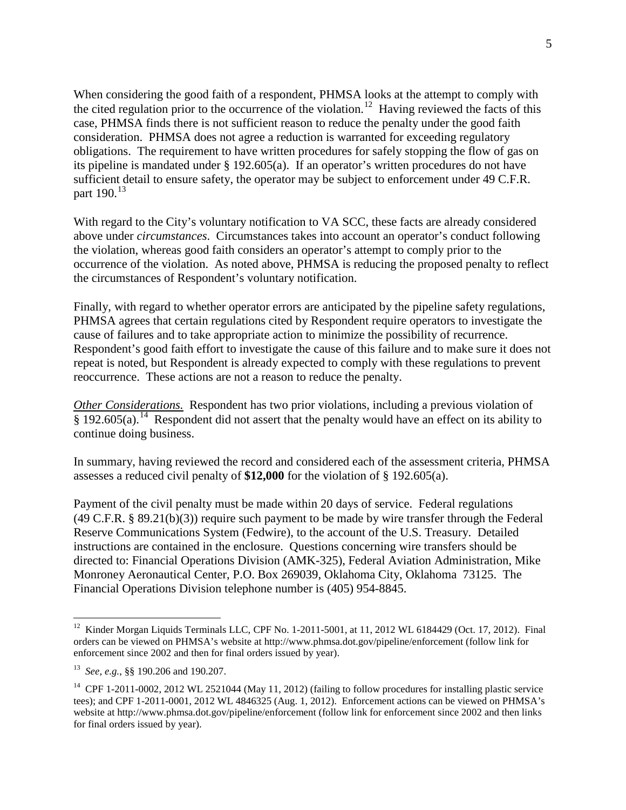When considering the good faith of a respondent, PHMSA looks at the attempt to comply with the cited regulation prior to the occurrence of the violation.<sup>12</sup> Having reviewed the facts of this case, PHMSA finds there is not sufficient reason to reduce the penalty under the good faith consideration. PHMSA does not agree a reduction is warranted for exceeding regulatory obligations. The requirement to have written procedures for safely stopping the flow of gas on its pipeline is mandated under § 192.605(a). If an operator's written procedures do not have sufficient detail to ensure safety, the operator may be subject to enforcement under 49 C.F.R. part  $190^{13}$ 

With regard to the City's voluntary notification to VA SCC, these facts are already considered above under *circumstances*. Circumstances takes into account an operator's conduct following the violation, whereas good faith considers an operator's attempt to comply prior to the occurrence of the violation. As noted above, PHMSA is reducing the proposed penalty to reflect the circumstances of Respondent's voluntary notification.

Finally, with regard to whether operator errors are anticipated by the pipeline safety regulations, PHMSA agrees that certain regulations cited by Respondent require operators to investigate the cause of failures and to take appropriate action to minimize the possibility of recurrence. Respondent's good faith effort to investigate the cause of this failure and to make sure it does not repeat is noted, but Respondent is already expected to comply with these regulations to prevent reoccurrence. These actions are not a reason to reduce the penalty.

*Other Considerations.* Respondent has two prior violations, including a previous violation of  $\frac{8}{9}$  192.605(a).<sup>14</sup> Respondent did not assert that the penalty would have an effect on its ability to continue doing business.

In summary, having reviewed the record and considered each of the assessment criteria, PHMSA assesses a reduced civil penalty of **\$12,000** for the violation of § 192.605(a).

Payment of the civil penalty must be made within 20 days of service. Federal regulations (49 C.F.R. § 89.21(b)(3)) require such payment to be made by wire transfer through the Federal Reserve Communications System (Fedwire), to the account of the U.S. Treasury. Detailed instructions are contained in the enclosure. Questions concerning wire transfers should be directed to: Financial Operations Division (AMK-325), Federal Aviation Administration, Mike Monroney Aeronautical Center, P.O. Box 269039, Oklahoma City, Oklahoma 73125. The Financial Operations Division telephone number is (405) 954-8845.

 $\overline{a}$ 

<sup>&</sup>lt;sup>12</sup> Kinder Morgan Liquids Terminals LLC, CPF No. 1-2011-5001, at 11, 2012 WL 6184429 (Oct. 17, 2012). Final orders can be viewed on PHMSA's website at http://www.phmsa.dot.gov/pipeline/enforcement (follow link for enforcement since 2002 and then for final orders issued by year).

<sup>13</sup> *See, e.g.*, §§ 190.206 and 190.207.

<sup>&</sup>lt;sup>14</sup> CPF 1-2011-0002, 2012 WL 2521044 (May 11, 2012) (failing to follow procedures for installing plastic service tees); and CPF 1-2011-0001, 2012 WL 4846325 (Aug. 1, 2012). Enforcement actions can be viewed on PHMSA's website at http://www.phmsa.dot.gov/pipeline/enforcement (follow link for enforcement since 2002 and then links for final orders issued by year).